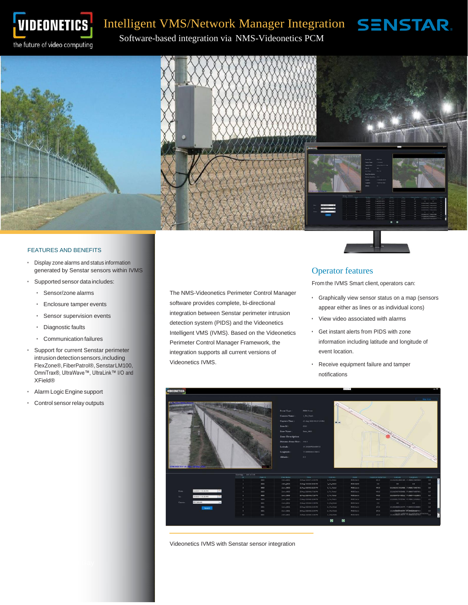

# VIDEONETICS Intelligent VMS/Network Manager Integration SENSTAR.

Software-based integration via NMS-Videonetics PCM<br>the future of video computing Software-based integration via NMS-Videonetics PCM



#### FEATURES AND BENEFITS

- Display zone alarms and status information generated by Senstar sensors within IVMS
- Supported sensor data includes:
	- Sensor/zone alarms
	- Enclosure tamper events
	- Sensor supervision events
	- Diagnostic faults
	- Communication failures
- Support for current Senstar perimeter intrusion detection sensors,including FlexZone®,FiberPatrol®,SenstarLM100, OmniTrax®, UltraWave™, UltraLink™ I/O and XField®
- Alarm LogicEngine support
- Control sensor relay outputs

The NMS-Videonetics Perimeter Control Manager software provides complete, bi-directional integration between Senstar perimeter intrusion detection system (PIDS) and the Videonetics Intelligent VMS (IVMS). Based on the Videonetics Perimeter Control Manager Framework, the integration supports all current versions of Videonetics IVMS.

#### Operator features

From the IVMS Smart client, operators can:

- Graphically view sensor status on a map (sensors appear either as lines or as individual icons)
- View video associated with alarms
- Get instant alerts from PIDS with zone information including latitude and longitude of event location.
- Receive equipment failure and tamper notifications



Videonetics IVMS with Senstar sensor integration